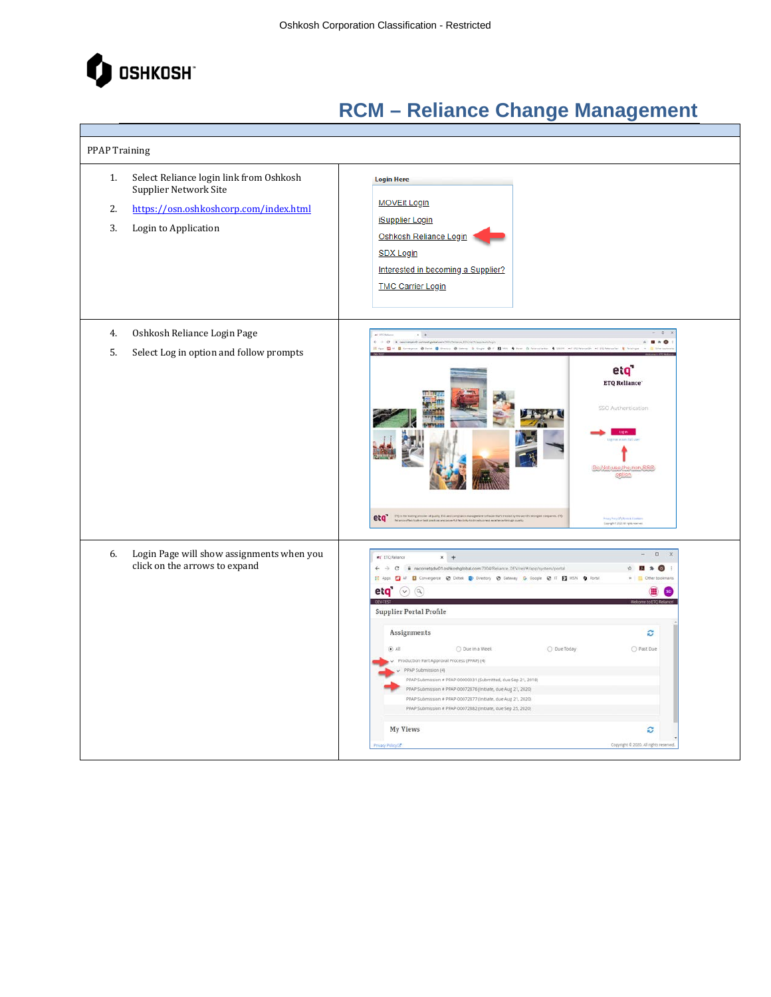

| <b>PPAP Training</b> |                                                                                                                                    |                                                                                                                                                                                                                                                                                                                                                                                                                                                                                                                                                                                                                                                                                                                                                |  |  |
|----------------------|------------------------------------------------------------------------------------------------------------------------------------|------------------------------------------------------------------------------------------------------------------------------------------------------------------------------------------------------------------------------------------------------------------------------------------------------------------------------------------------------------------------------------------------------------------------------------------------------------------------------------------------------------------------------------------------------------------------------------------------------------------------------------------------------------------------------------------------------------------------------------------------|--|--|
| 1.<br>2.<br>3.       | Select Reliance login link from Oshkosh<br>Supplier Network Site<br>https://osn.oshkoshcorp.com/index.html<br>Login to Application | <b>Login Here</b><br><b>MOVEit Login</b><br><b>iSupplier Login</b><br>Oshkosh Reliance Login<br><b>SDX Login</b><br>Interested in becoming a Supplier?<br><b>TMC Carrier Login</b>                                                                                                                                                                                                                                                                                                                                                                                                                                                                                                                                                             |  |  |
| 4.<br>5.             | Oshkosh Reliance Login Page<br>Select Log in option and follow prompts                                                             | $\circ$<br>$+$<br>$ C$ $+$ $-$<br>$B \times O$<br>Am ELIP El Company & Detail El Denny & George & C. ELIPS & New Chinesestates & COLO and Chinesesche at El Detailers & The<br>e <sub>i</sub> q'<br><b>ETQ Reliance</b><br>SSO Authentication<br>Do:Not-use the mon-SSG<br>eta "Contra hampionide af quity foil and compared nationed affairs that manufacture the contract of the animal<br>Prints Ports Of China Kills<br>Georgia 6 200 All Spielwaren                                                                                                                                                                                                                                                                                       |  |  |
| 6.                   | Login Page will show assignments when you<br>click on the arrows to expand                                                         | $\Box$<br>et ETQ Relance<br>$x +$<br>$\circ$<br>水<br>El Apps El AF El Convergence @ Deltek ED Directory @ Gateway G Google @ IT El MSN O Portal<br>eta $\omega$ $\omega$<br><b>DEV-TEST</b><br><b>Supplier Portal Profile</b><br>Assignments<br>ø<br>(A, 0)<br>O Due Today<br>O Past Due<br>O Due in a Week<br>Production Part Approval Process (PPAP) (4)<br>PPAP Submission (4)<br>PPAP Submission # PPAP-00000031 (Submitted, due Sep 21, 2018).<br>PPAP Submission # PPAP-00072876 (Initiate, due Aug 21, 2020)<br>PPAP Submission # PPAP-00072877 (Initiate, due Aug 21, 2020)<br>PPAP Submission # PPAP-00072882 (Initiate, due Sep 25, 2020)<br><b>My Views</b><br>c<br>Copyright @ 2020. All rights reserved<br><b>INacy Policy LS</b> |  |  |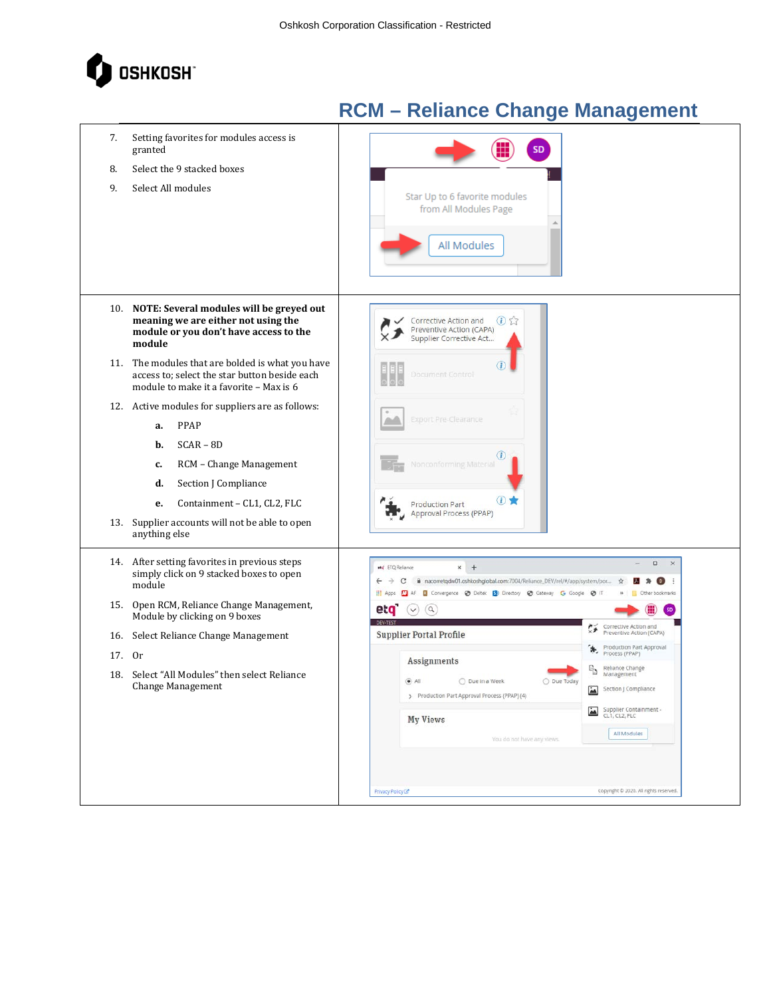

| 7.<br>8.             | Setting favorites for modules access is<br>granted<br>Select the 9 stacked boxes                                                                                                                                                                                                                                                                                                                                                                                                                                                 | <b>SD</b>                                                                                                                                                                                                                                                                                                                                                                                                                                                                                                                                                                                  |
|----------------------|----------------------------------------------------------------------------------------------------------------------------------------------------------------------------------------------------------------------------------------------------------------------------------------------------------------------------------------------------------------------------------------------------------------------------------------------------------------------------------------------------------------------------------|--------------------------------------------------------------------------------------------------------------------------------------------------------------------------------------------------------------------------------------------------------------------------------------------------------------------------------------------------------------------------------------------------------------------------------------------------------------------------------------------------------------------------------------------------------------------------------------------|
| 9.                   | Select All modules                                                                                                                                                                                                                                                                                                                                                                                                                                                                                                               | Star Up to 6 favorite modules<br>from All Modules Page<br>All Modules                                                                                                                                                                                                                                                                                                                                                                                                                                                                                                                      |
|                      | 10. NOTE: Several modules will be greyed out<br>meaning we are either not using the<br>module or you don't have access to the<br>module                                                                                                                                                                                                                                                                                                                                                                                          | $\bigcirc$<br>Corrective Action and<br>Preventive Action (CAPA)<br>Supplier Corrective Act                                                                                                                                                                                                                                                                                                                                                                                                                                                                                                 |
|                      | 11. The modules that are bolded is what you have<br>access to; select the star button beside each<br>module to make it a favorite - Max is 6                                                                                                                                                                                                                                                                                                                                                                                     | Document Control                                                                                                                                                                                                                                                                                                                                                                                                                                                                                                                                                                           |
| 13.<br>16.<br>17. Or | 12. Active modules for suppliers are as follows:<br>PPAP<br>a.<br>$SCAR - BD$<br>b.<br>RCM - Change Management<br>c.<br>Section J Compliance<br>d.<br>Containment - CL1, CL2, FLC<br>e.<br>Supplier accounts will not be able to open<br>anything else<br>14. After setting favorites in previous steps<br>simply click on 9 stacked boxes to open<br>module<br>15. Open RCM, Reliance Change Management,<br>Module by clicking on 9 boxes<br>Select Reliance Change Management<br>18. Select "All Modules" then select Reliance | <b>Export Pre-Clearance</b><br>Nonconforming Material<br>(i)<br><b>Production Part</b><br>Approval Process (PPAP)<br>$\Box$<br>$\times$<br>$x +$<br>en ETQ Reliance<br>a nacorretqdw01.oshkoshglobal.com:7004/Reliance_DEV/rel/#/app/system/por<br>C<br>☆<br>$\Omega$<br>AF E Convergence @ Deltek B Directory @ Gateway G Google @ IT<br>G<br>Other bookmarks<br>eta<br>$\left( \mathbf{q}\right)$<br>$\checkmark$<br>Corrective Action and<br>Preventive Action (CAPA)<br><b>Supplier Portal Profile</b><br>Production Part Approval<br>Process (PPAP)<br>Assignments<br>Reliance Change |
|                      | Change Management                                                                                                                                                                                                                                                                                                                                                                                                                                                                                                                | Management<br>$\odot$ All<br>O Due in a Week<br>O Due Today<br>Section J Compliance<br>> Production Part Approval Process (PPAP) (4)<br>Supplier Containment -<br>CL1, CL2, FLC<br>$\overline{\phantom{a}}$<br><b>My Views</b><br>All Modules<br>You do not have any views.<br>Copyright @ 2020. All rights reserved.<br>Privacy Policy La                                                                                                                                                                                                                                                 |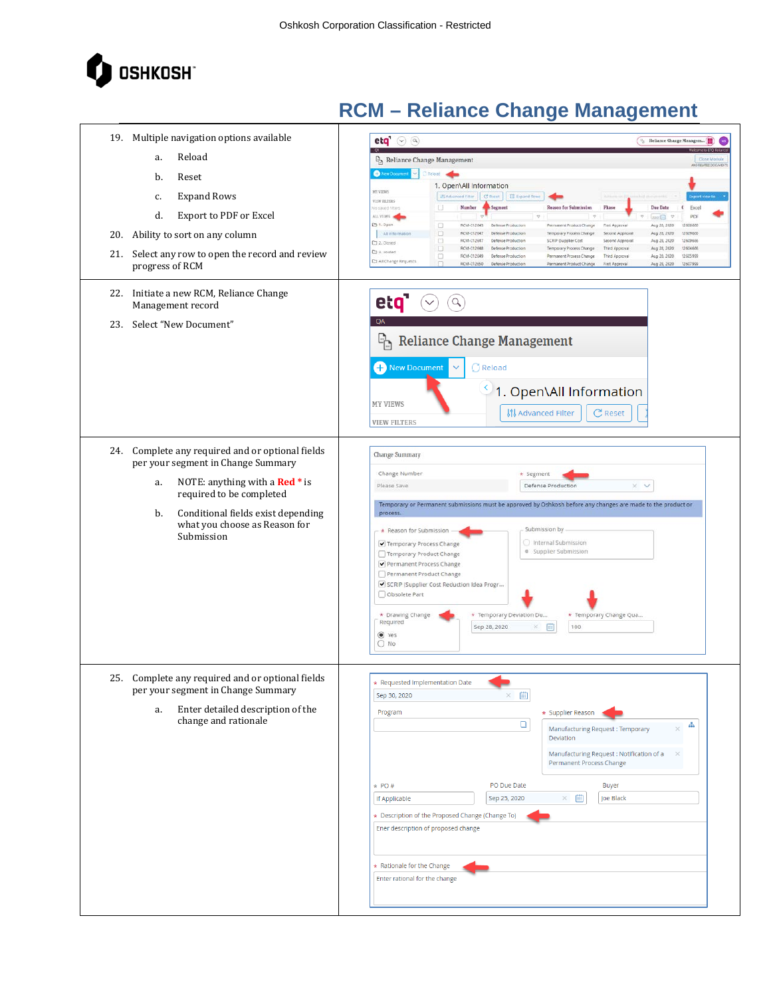

| 19. Multiple navigation options available<br>Reload<br>a.<br>b.<br>Reset<br><b>Expand Rows</b><br>c.<br>d.<br>Export to PDF or Excel<br>Ability to sort on any column<br>20.<br>21.<br>Select any row to open the record and review<br>progress of RCM<br>22. Initiate a new RCM, Reliance Change<br>Management record<br>Select "New Document"<br>23. | etq' $\odot$ $\odot$<br><sup>12</sup> Reliance Change Managem [11]<br><sup>1</sup> Reliance Change Management<br><b>Close Mode</b><br>New Document & Chelood<br>1. Open\All Information<br><b>HY VIEWS</b><br>Il Advanced Fiter   C Reset   III Expand Rows<br>VIEW EILTERS<br>U<br>Number<br>Segment<br>Due Date<br>Excel<br>Reason for Submission<br>Phase<br>$\epsilon$<br>is saved filters<br>ALL VIEWS<br>PDF<br>my <sub>1</sub><br>$\overline{u}$<br>P 1. Open<br>$\Box$<br>RCM-012645<br>Defense Production<br>Permanent Product Change<br>First Approva<br>Aug 28, 2020<br>12606656<br>BCM-012647<br>Defense Production<br>12609666<br>All information<br>$\Box$<br>Temporary Process Change<br>Second Approval<br>Aug 28, 2020<br>RCM-012647<br>SCRP (Supplier Cost<br>o<br>Defense Production<br>Second Approva<br>Aug 28, 2020<br>12609656<br>CJ 2. Closed<br>RCM-012648 Defense Production<br>12604656<br>n<br>Temporary Process Change<br>Third Approval<br>Aug 28, 2020<br>C 3. Voided<br>RCM-012649 Defense Production<br>12605999<br>$\qquad \qquad \Box$<br>Permanent Process Change<br>Third Approval<br>Aug 28, 2020<br>Ca All Change Requests<br>RCM-012650 Defense Production<br>n<br>Permanent Product Change<br>First Approval<br>Aug 28, 2020<br>12607999<br>etq'<br>$\alpha$<br>QA<br>$E_{\rm{h}}$<br><b>Reliance Change Management</b><br><b>C</b> New Document<br>C Reload |
|--------------------------------------------------------------------------------------------------------------------------------------------------------------------------------------------------------------------------------------------------------------------------------------------------------------------------------------------------------|-------------------------------------------------------------------------------------------------------------------------------------------------------------------------------------------------------------------------------------------------------------------------------------------------------------------------------------------------------------------------------------------------------------------------------------------------------------------------------------------------------------------------------------------------------------------------------------------------------------------------------------------------------------------------------------------------------------------------------------------------------------------------------------------------------------------------------------------------------------------------------------------------------------------------------------------------------------------------------------------------------------------------------------------------------------------------------------------------------------------------------------------------------------------------------------------------------------------------------------------------------------------------------------------------------------------------------------------------------------------------------------------------------|
|                                                                                                                                                                                                                                                                                                                                                        | 1. Open\All Information<br><b>MY VIEWS</b><br>C Reset<br>ៀវ Advanced Filter<br><b>VIEW FILTERS</b>                                                                                                                                                                                                                                                                                                                                                                                                                                                                                                                                                                                                                                                                                                                                                                                                                                                                                                                                                                                                                                                                                                                                                                                                                                                                                                    |
| 24. Complete any required and or optional fields<br>per your segment in Change Summary<br>NOTE: anything with a Red * is<br>a.<br>required to be completed<br>Conditional fields exist depending<br>b.<br>what you choose as Reason for<br>Submission                                                                                                  | <b>Change Summary</b><br>Change Number<br>* Segment<br>$\times$ $\times$<br>Please Save<br>Defense Production<br>Temporary or Permanent submissions must be approved by Oshkosh before any changes are made to the product or<br>process.<br>Submission by<br>* Reason for Submission<br>Internal Submission<br>Temporary Process Change<br>· Supplier Submission<br>Temporary Product Change<br>Permanent Process Change<br>Permanent Product Change<br>SCRIP (Supplier Cost Reduction Idea Progr<br>Obsolete Part<br>* Drawing Change<br>* Temporary Change Qua<br>* Temporary Deviation Du<br>Required<br>Sep 28, 2020<br>圖<br>100<br>×<br>O Yes<br>$O$ No                                                                                                                                                                                                                                                                                                                                                                                                                                                                                                                                                                                                                                                                                                                                         |
| 25. Complete any required and or optional fields<br>per your segment in Change Summary<br>Enter detailed description of the<br>a.<br>change and rationale                                                                                                                                                                                              | * Requested Implementation Date<br>画<br>$\times$<br>Sep 30, 2020<br>Program<br>* Supplier Reason<br>$\Box$<br>a.<br>Manufacturing Request: Temporary<br>Deviation<br>Manufacturing Request: Notification of a<br>$\times$<br>Permanent Process Change<br>PO Due Date<br>$*$ PO#<br>Buyer<br>曲<br>Joe Black<br>Sep 25, 2020<br>$\times$<br>If Applicable<br>* Description of the Proposed Change (Change To)<br>Ener description of proposed change<br>* Rationale for the Change<br>Enter rational for the change                                                                                                                                                                                                                                                                                                                                                                                                                                                                                                                                                                                                                                                                                                                                                                                                                                                                                     |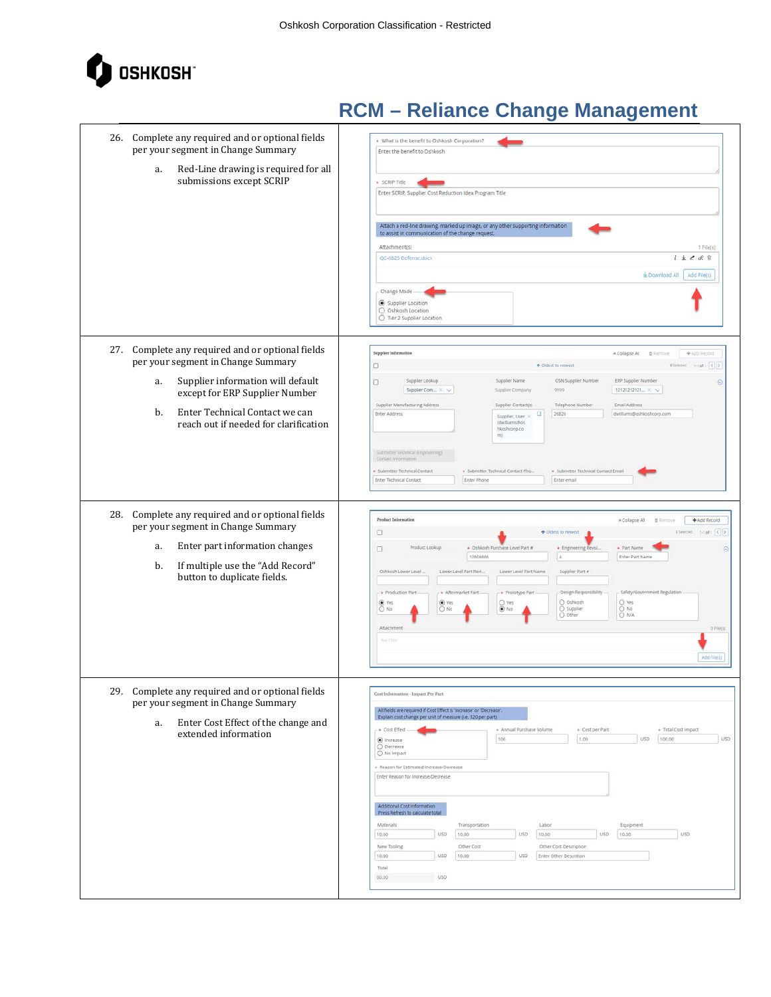

| 26. Complete any required and or optional fields<br>per your segment in Change Summary<br>Red-Line drawing is required for all<br>a.<br>submissions except SCRIP                                                                                     | * What is the benefit to Oshkosh Corporation?<br>Enter the benefit to Oshkosh<br>* SCRIP Title<br>Enter SCRIP, Supplier Cost Reduction Idea Program Title<br>Attach a red-line drawing, marked up image, or any other supporting information<br>to assist in communication of the change request.<br>Attachment(s)<br>1 File(s)<br>$i \pm 2$ 8. $\hat{v}$<br>QC-0825 Defense.docx<br>$\pm$ Download All<br>Add File(s)<br>- Change Made<br>Supplier Location<br>O Oshkosh Location<br>O Tier 2 Supplier Location                                                                                                                                                                                                                                                               |
|------------------------------------------------------------------------------------------------------------------------------------------------------------------------------------------------------------------------------------------------------|--------------------------------------------------------------------------------------------------------------------------------------------------------------------------------------------------------------------------------------------------------------------------------------------------------------------------------------------------------------------------------------------------------------------------------------------------------------------------------------------------------------------------------------------------------------------------------------------------------------------------------------------------------------------------------------------------------------------------------------------------------------------------------|
| 27. Complete any required and or optional fields<br>per your segment in Change Summary<br>Supplier information will default<br>a.<br>except for ERP Supplier Number<br>Enter Technical Contact we can<br>b.<br>reach out if needed for clarification | Supplier Information<br>A Collapse All<br>自动<br>+ Add Record<br>Diskort 1-tott < ><br>о<br>+ Oldest to newest<br>Supplier Lookup<br>OSN Supplier Number<br>ERP Supplier Number<br>Supplier Name<br>o<br>$\odot$<br>Supplier Com X V<br>12121212121 × V<br>Supplier Company<br>9999<br>Supplier Manufacturing Address<br>Supplier Contact(s)<br>Telephone Number<br>Email Address<br>Enter Address<br>26826<br>dwilliams@oshkoshcorp.com<br>٠<br>Supplier, User X<br>(dwilliams@os<br>hkoshcorp.co<br>(m)<br>Submitter Technical (Engineering)<br>Contact information<br>* Submitter Technical Contact Pho<br>· Submitter Technical Contact Email<br>+ Submitter Technical Contact<br>Enter Technical Contact<br>Enter Phone<br>Enter email                                     |
| 28. Complete any required and or optional fields<br>per your segment in Change Summary<br>Enter part information changes<br>a.<br>If multiple use the "Add Record"<br>b.<br>button to duplicate fields.                                              | <b>Product Information</b><br>* Collapse All<br>+ Add Record<br>自动<br>$\Box$<br>DSelected: Staff < ><br>+ Oldest to newest<br>Product Lookup<br>+ Oshkosh Purchase Level Part #<br>+ Engineering Revisi.<br>+ Part Name<br>$\Box$<br>$\odot$<br>12604666<br>$\mathbb{A}^{\prime}$<br>Enter Part Name<br>Lower Level Part Revi<br>Lower Level Part Name<br>Supplier Part #<br>Oshkosh Lower Level<br>Design Responsibility<br>Safety/Government Regulation<br>- + Production Part<br>+ Aftermarket Part -<br>+ Prototype Part<br>O Oshkosh<br>O Yes<br>O Yes<br>$•$ Yes<br>O Yes<br>$O$ No<br>$\odot$ No<br>O Supplier<br>$\frac{O}{O}$ No<br>$O$ No<br>O other<br>Attachment<br>0 File(s)<br>No Film<br>Add file(s)                                                            |
| 29. Complete any required and or optional fields<br>per your segment in Change Summary<br>Enter Cost Effect of the change and<br>a.<br>extended information                                                                                          | Cost Information - Impact Per Part<br>All fields are required if Cost Effect is 'increase' or 'Decrease'.<br>Explain cost change per unit of measure (i.e. \$20 per part)<br>* Annual Purchase Volume<br>· Total Cost Impact<br>. Cost Effect<br>* Cost per Part<br>USD<br>USD<br>100<br>1.00<br>100.00<br>O Increase<br>Decrease<br>O No Impact<br>» Reason for Estimated Increase/Decrease<br>Enter Reason for Increase/Decrease<br>Additional Cost Information<br>Press Refresh to calculate total<br>Materials<br>Transportation<br>Labor<br>Equipment<br>10.00<br>USD.<br>10,00<br>USD.<br>USD<br>10.00<br><b>USD</b><br>10.00<br>New Tooling<br>Other Cost<br>Other Cost Description<br>10.00<br>10.00<br>USD<br>USD<br>Enter Other Descrition<br>Total<br>USD.<br>60.00 |